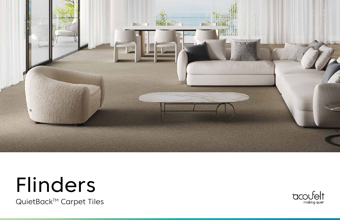

# Flinders

QuietBack™ Carpet Tiles

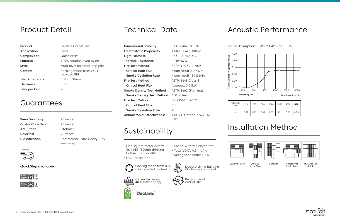Sound Absorption Coeffecient (αs)

 $\widehat{d}$ 

125

0.00

0.20

0.40



0.60

0.80

1.00

Sound Absorption ASTM C423, NRC 0.35

### Product Detail

## Installation Method



#### Acoustic Performance

Frequency

| quency<br>(Hz) | 125  | 250  | 500  | 1000 | 2000 | 4000 | <b>NRC</b> |
|----------------|------|------|------|------|------|------|------------|
| a <sub>s</sub> | 0.01 | 0.07 | 0.31 | 0.51 | 0.51 | 0.50 | 0.35       |

\* Graph not to scale.

2 – Flinders Carpet Tiles | 1800 626 462 | acoufelt.com



Quarter Turn Vertical



Stair Step

WWW 

Vertical Horizontal Stair Step

20 years\* 20 years\* Lifetime\* 20 years\* Commercial Extra Heavy Duty \*conditions apply



Horizontal Brick



| Product            | <b>Flinders Carpet Tile</b>    | <b>Dimens</b>   |
|--------------------|--------------------------------|-----------------|
| <b>Application</b> | Floor                          | Electros        |
| Composition        | QuietBack™                     | Light Fo        |
| <b>Material</b>    | 100% solution dyed nylon       | Thermo          |
| <b>Style</b>       | Multi-level textured loop pile | <b>Fire Tes</b> |
| Content            | Backing made from >80%         | Critico         |
|                    | recycled PET                   | Smoke           |

Tile Dimensions 500 x 500mm Thickness 8mm Tiles per box 20

Product

# Content

#### **Guarantees**

| <b>Wear Warranty</b>      |
|---------------------------|
| <b>Castor Chair Proof</b> |
| Anti-Static               |
| Colorfast                 |
| Classification            |

 $\text{static Property}$  AATCC 134  $\leq$  1000V astness ISO 105-B02, 6-7 al Resistance **0.2m<sup>2</sup> K/W st Method** AS/ISO 9239.1-2003 al Heat Flux Mean result 4.9kW/m<sup>2</sup> **Smoke Deviation Rate** Mean result 187%.min **Fire Test Method ASTM E648 Class 1** Critical Heat Flux Average, 0.54kWm<sup>2</sup> Smoke Density Test Method ASTM E662 (Flaming) Smoke Density Test Method 450 or less **Fire Test Method** EN 13501-1:2019 Critical Heat Flux Cfl Smoke Deviation Rate s1 Antimicrobial Effectiveness AATTCC Method 174:2016

#### QuickShip available

| <b>Technical Data</b> |  |
|-----------------------|--|
|-----------------------|--|

Part II

## Sustainability

- One square meter diverts 36 x PET (600ml) drinking bottles from landfill
- LBC Red list free

#### • Phenol & formaldhyde free • Total VOC's 0.5 mg/m • Recognised under LEED



sional Stability **ISO 17984, -0.05%** 

Generated using 40% solar energy

E

Declare Living Building Challenge compliant